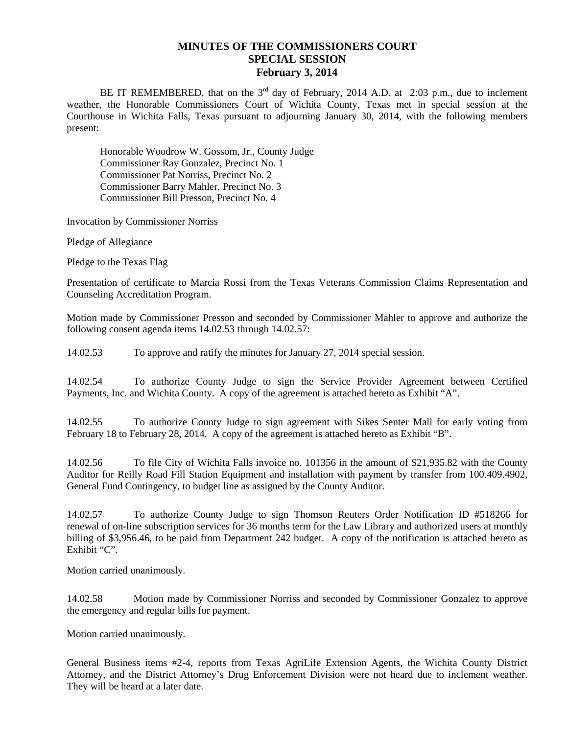## **MINUTES OF THE COMMISSIONERS COURT SPECIAL SESSION February 3, 2014**

BE IT REMEMBERED, that on the  $3<sup>rd</sup>$  day of February, 2014 A.D. at 2:03 p.m., due to inclement weather, the Honorable Commissioners Court of Wichita County, Texas met in special session at the Courthouse in Wichita Falls, Texas pursuant to adjourning January 30, 2014, with the following members present:

Honorable Woodrow W. Gossom, Jr., County Judge Commissioner Ray Gonzalez, Precinct No. 1 Commissioner Pat Norriss, Precinct No. 2 Commissioner Barry Mahler, Precinct No. 3 Commissioner Bill Presson, Precinct No. 4

Invocation by Commissioner Norriss

Pledge of Allegiance

Pledge to the Texas Flag

Presentation of certificate to Marcia Rossi from the Texas Veterans Commission Claims Representation and Counseling Accreditation Program.

Motion made by Commissioner Presson and seconded by Commissioner Mahler to approve and authorize the following consent agenda items 14.02.53 through 14.02.57:

14.02.53 To approve and ratify the minutes for January 27, 2014 special session.

14.02.54 To authorize County Judge to sign the Service Provider Agreement between Certified Payments, Inc. and Wichita County. A copy of the agreement is attached hereto as Exhibit "A".

14.02.55 To authorize County Judge to sign agreement with Sikes Senter Mall for early voting from February 18 to February 28, 2014. A copy of the agreement is attached hereto as Exhibit "B".

14.02.56 To file City of Wichita Falls invoice no. 101356 in the amount of \$21,935.82 with the County Auditor for Reilly Road Fill Station Equipment and installation with payment by transfer from 100.409.4902, General Fund Contingency, to budget line as assigned by the County Auditor.

14.02.57 To authorize County Judge to sign Thomson Reuters Order Notification ID #518266 for renewal of on-line subscription services for 36 months term for the Law Library and authorized users at monthly billing of \$3,956.46, to be paid from Department 242 budget. A copy of the notification is attached hereto as Exhibit "C".

Motion carried unanimously.

14.02.58 Motion made by Commissioner Norriss and seconded by Commissioner Gonzalez to approve the emergency and regular bills for payment.

Motion carried unanimously.

General Business items #2-4, reports from Texas AgriLife Extension Agents, the Wichita County District Attorney, and the District Attorney's Drug Enforcement Division were not heard due to inclement weather. They will be heard at a later date.